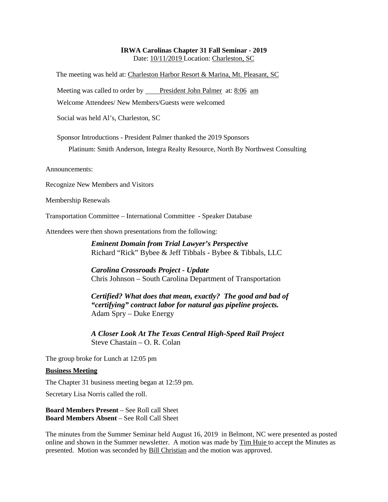### **IRWA Carolinas Chapter 31 Fall Seminar - 2019** Date: 10/11/2019 Location: Charleston, SC

The meeting was held at: Charleston Harbor Resort & Marina, Mt. Pleasant, SC

Meeting was called to order by President John Palmer at: 8:06 am

Welcome Attendees/ New Members/Guests were welcomed

Social was held Al's, Charleston, SC

Sponsor Introductions - President Palmer thanked the 2019 Sponsors

Platinum: Smith Anderson, Integra Realty Resource, North By Northwest Consulting

Announcements:

Recognize New Members and Visitors

Membership Renewals

Transportation Committee – International Committee - Speaker Database

Attendees were then shown presentations from the following:

*Eminent Domain from Trial Lawyer's Perspective* Richard "Rick" Bybee & Jeff Tibbals - Bybee & Tibbals, LLC

*Carolina Crossroads Project - Update* Chris Johnson – South Carolina Department of Transportation

*Certified? What does that mean, exactly? The good and bad of "certifying" contract labor for natural gas pipeline projects.* Adam Spry – Duke Energy

*A Closer Look At The Texas Central High-Speed Rail Project* Steve Chastain – O. R. Colan

The group broke for Lunch at 12:05 pm

#### **Business Meeting**

The Chapter 31 business meeting began at 12:59 pm.

Secretary Lisa Norris called the roll.

**Board Members Present** – See Roll call Sheet **Board Members Absent** – See Roll Call Sheet

The minutes from the Summer Seminar held August 16, 2019 in Belmont, NC were presented as posted online and shown in the Summer newsletter. A motion was made by Tim Huie to accept the Minutes as presented. Motion was seconded by Bill Christian and the motion was approved.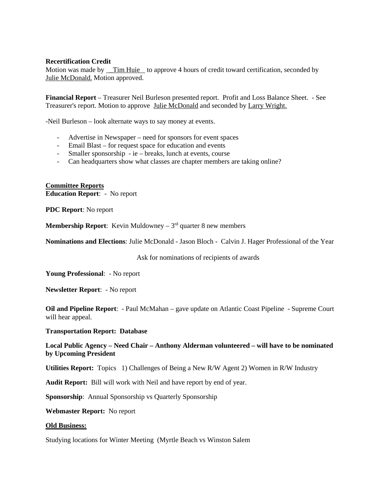#### **Recertification Credit**

Motion was made by \_Tim Huie to approve 4 hours of credit toward certification, seconded by Julie McDonald. Motion approved.

**Financial Report** – Treasurer Neil Burleson presented report. Profit and Loss Balance Sheet. - See Treasurer's report. Motion to approve Julie McDonald and seconded by Larry Wright.

-Neil Burleson – look alternate ways to say money at events.

- Advertise in Newspaper need for sponsors for event spaces
- Email Blast for request space for education and events
- Smaller sponsorship ie breaks, lunch at events, course
- Can headquarters show what classes are chapter members are taking online?

**Committee Reports Education Report**: - No report

**PDC Report**: No report

**Membership Report:** Kevin Muldowney –  $3<sup>rd</sup>$  quarter 8 new members

**Nominations and Elections**: Julie McDonald - Jason Bloch - Calvin J. Hager Professional of the Year

Ask for nominations of recipients of awards

**Young Professional**: - No report

**Newsletter Report**: - No report

**Oil and Pipeline Report**: - Paul McMahan – gave update on Atlantic Coast Pipeline - Supreme Court will hear appeal.

#### **Transportation Report: Database**

### **Local Public Agency – Need Chair – Anthony Alderman volunteered – will have to be nominated by Upcoming President**

**Utilities Report:** Topics 1) Challenges of Being a New R/W Agent 2) Women in R/W Industry

**Audit Report:** Bill will work with Neil and have report by end of year.

**Sponsorship**: Annual Sponsorship vs Quarterly Sponsorship

**Webmaster Report:** No report

#### **Old Business:**

Studying locations for Winter Meeting (Myrtle Beach vs Winston Salem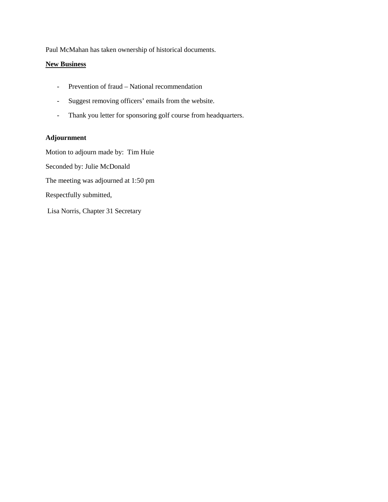Paul McMahan has taken ownership of historical documents.

### **New Business**

- Prevention of fraud National recommendation
- Suggest removing officers' emails from the website.
- Thank you letter for sponsoring golf course from headquarters.

### **Adjournment**

Motion to adjourn made by: Tim Huie Seconded by: Julie McDonald The meeting was adjourned at 1:50 pm Respectfully submitted, Lisa Norris, Chapter 31 Secretary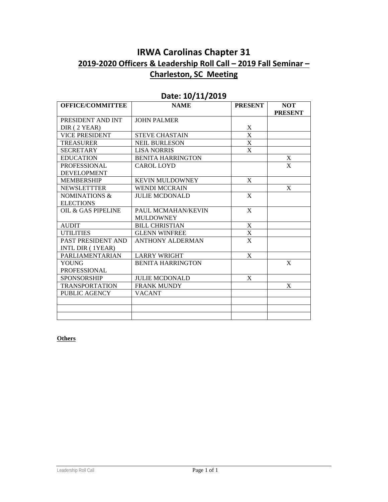# **IRWA Carolinas Chapter 31 2019-2020 Officers & Leadership Roll Call – 2019 Fall Seminar – Charleston, SC Meeting**

| <b>OFFICE/COMMITTEE</b>       | <b>NAME</b>              | <b>PRESENT</b> | <b>NOT</b>     |
|-------------------------------|--------------------------|----------------|----------------|
|                               |                          |                | <b>PRESENT</b> |
| PRESIDENT AND INT             | <b>JOHN PALMER</b>       |                |                |
| DIR (2 YEAR)                  |                          | $\mathbf X$    |                |
| <b>VICE PRESIDENT</b>         | <b>STEVE CHASTAIN</b>    | $\mathbf X$    |                |
| <b>TREASURER</b>              | <b>NEIL BURLESON</b>     | $\mathbf X$    |                |
| <b>SECRETARY</b>              | <b>LISA NORRIS</b>       | $\mathbf X$    |                |
| <b>EDUCATION</b>              | <b>BENITA HARRINGTON</b> |                | X              |
| <b>PROFESSIONAL</b>           | <b>CAROL LOYD</b>        |                | X              |
| <b>DEVELOPMENT</b>            |                          |                |                |
| <b>MEMBERSHIP</b>             | <b>KEVIN MULDOWNEY</b>   | X              |                |
| <b>NEWSLETTTER</b>            | <b>WENDI MCCRAIN</b>     |                | X              |
| NOMINATIONS &                 | <b>JULIE MCDONALD</b>    | X              |                |
| <b>ELECTIONS</b>              |                          |                |                |
| <b>OIL &amp; GAS PIPELINE</b> | PAUL MCMAHAN/KEVIN       | $\mathbf{X}$   |                |
|                               | <b>MULDOWNEY</b>         |                |                |
| <b>AUDIT</b>                  | <b>BILL CHRISTIAN</b>    | $\mathbf X$    |                |
| <b>UTILITIES</b>              | <b>GLENN WINFREE</b>     | $\mathbf X$    |                |
| <b>PAST PRESIDENT AND</b>     | <b>ANTHONY ALDERMAN</b>  | X              |                |
| INTL DIR (1YEAR)              |                          |                |                |
| PARLIAMENTARIAN               | <b>LARRY WRIGHT</b>      | X              |                |
| YOUNG                         | <b>BENITA HARRINGTON</b> |                | X              |
| <b>PROFESSIONAL</b>           |                          |                |                |
| SPONSORSHIP                   | <b>JULIE MCDONALD</b>    | X              |                |
| <b>TRANSPORTATION</b>         | <b>FRANK MUNDY</b>       |                | X              |
| <b>PUBLIC AGENCY</b>          | <b>VACANT</b>            |                |                |
|                               |                          |                |                |
|                               |                          |                |                |
|                               |                          |                |                |

## **Date: 10/11/2019**

### **Others**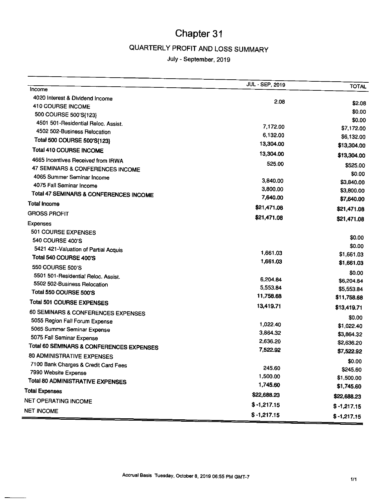# QUARTERLY PROFIT AND LOSS SUMMARY

July - September, 2019

| Income                                                         | JUL - SEP, 2019      | <b>TOTAL</b>         |
|----------------------------------------------------------------|----------------------|----------------------|
| 4020 Interest & Dividend Income                                |                      |                      |
| 410 COURSE INCOME                                              | 2.08                 | \$2.08               |
| 500 COURSE 500'S{123}                                          |                      | \$0.00               |
| 4501 501-Residential Reloc. Assist.                            |                      | \$0.00               |
| 4502 502-Business Relocation                                   | 7,172.00             | \$7,172.00           |
| Total 500 COURSE 500'S{123}                                    | 6,132.00             | \$6,132.00           |
| Total 410 COURSE INCOME                                        | 13,304.00            | \$13,304.00          |
|                                                                | 13,304.00            | \$13,304.00          |
| 4665 Incentives Received from IRWA                             | 525.00               | \$525.00             |
| 47 SEMINARS & CONFERENCES INCOME<br>4065 Summer Seminar Income |                      | \$0.00               |
| 4075 Fall Seminar Income                                       | 3,840.00             | \$3,840.00           |
|                                                                | 3,800.00             | \$3,800.00           |
| Total 47 SEMINARS & CONFERENCES INCOME                         | 7,640.00             | \$7,640.00           |
| Total Income                                                   | \$21,471.08          | \$21,471.08          |
| <b>GROSS PROFIT</b>                                            | \$21,471.08          | \$21,471.08          |
| <b>Expenses</b>                                                |                      |                      |
| 501 COURSE EXPENSES                                            |                      | \$0.00               |
| 540 COURSE 400'S                                               |                      | \$0.00               |
| 5421 421-Valuation of Partial Acquis                           | 1,661.03             | \$1,661.03           |
| Total 540 COURSE 400'S                                         | 1,661.03             | \$1,661.03           |
| 550 COURSE 500'S                                               |                      |                      |
| 5501 501-Residential Reloc. Assist.                            | 6,204.84             | \$0.00<br>\$6,204.84 |
| 5502 502-Business Relocation                                   | 5,553.84             | \$5,553.84           |
| Total 550 COURSE 500'S                                         | 11,758.68            | \$11,758.68          |
| <b>Total 501 COURSE EXPENSES</b>                               | 13,419.71            |                      |
| 60 SEMINARS & CONFERENCES EXPENSES                             |                      | \$13,419.71          |
| 5055 Region Fall Forum Expense                                 | 1,022.40             | \$0.00               |
| 5065 Summer Seminar Expense                                    | 3,864.32             | \$1,022.40           |
| 5075 Fall Seminar Expense                                      |                      | \$3,864.32           |
| Total 60 SEMINARS & CONFERENCES EXPENSES                       | 2,636.20<br>7,522.92 | \$2,636.20           |
| <b>80 ADMINISTRATIVE EXPENSES</b>                              |                      | \$7,522.92           |
| 7100 Bank Charges & Credit Card Fees                           |                      | \$0.00               |
| 7990 Website Expense                                           | 245.60               | \$245.60             |
| Total 80 ADMINISTRATIVE EXPENSES                               | 1,500.00             | \$1,500.00           |
| <b>Total Expenses</b>                                          | 1,745.60             | \$1,745.60           |
| <b>NET OPERATING INCOME</b>                                    | \$22,688.23          | \$22,688.23          |
|                                                                | $$ -1,217.15$        | $$ -1,217.15$        |
| <b>NET INCOME</b>                                              | $$ -1,217.15$        | $$ -1,217.15$        |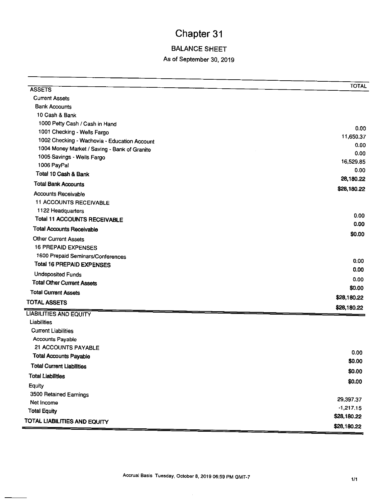# **BALANCE SHEET**

### As of September 30, 2019

| <b>ASSETS</b>                                | <b>TOTAL</b> |
|----------------------------------------------|--------------|
| <b>Current Assets</b>                        |              |
| <b>Bank Accounts</b>                         |              |
| 10 Cash & Bank                               |              |
| 1000 Petty Cash / Cash in Hand               |              |
| 1001 Checking - Wells Fargo                  | 0.00         |
| 1002 Checking - Wachovia - Education Account | 11,650.37    |
| 1004 Money Market / Saving - Bank of Granite | 0.00         |
| 1005 Savings - Wells Fargo                   | 0.00         |
| 1006 PayPal                                  | 16,529.85    |
| Total 10 Cash & Bank                         | 0.00         |
| <b>Total Bank Accounts</b>                   | 28,180.22    |
| <b>Accounts Receivable</b>                   | \$28,180.22  |
| <b>11 ACCOUNTS RECEIVABLE</b>                |              |
| 1122 Headquarters                            |              |
| <b>Total 11 ACCOUNTS RECEIVABLE</b>          | 0.00         |
| <b>Total Accounts Receivable</b>             | 0.00         |
| <b>Other Current Assets</b>                  | \$0.00       |
| <b>16 PREPAID EXPENSES</b>                   |              |
| 1600 Prepaid Seminars/Conferences            |              |
| <b>Total 16 PREPAID EXPENSES</b>             | 0.00         |
| <b>Undeposited Funds</b>                     | 0.00         |
| <b>Total Other Current Assets</b>            | 0.00         |
| <b>Total Current Assets</b>                  | \$0.00       |
| <b>TOTAL ASSETS</b>                          | \$28,180.22  |
| <b>LIABILITIES AND EQUITY</b>                | \$28,180.22  |
| Liabilities                                  |              |
| <b>Current Liabilities</b>                   |              |
| <b>Accounts Payable</b>                      |              |
| 21 ACCOUNTS PAYABLE                          |              |
| <b>Total Accounts Payable</b>                | 0.00         |
| Total Current Liabilities                    | \$0.00       |
| <b>Total Liabilities</b>                     | \$0.00       |
| Equity                                       | \$0.00       |
| 3500 Retained Earnings                       |              |
| Net Income                                   | 29,397.37    |
| <b>Total Equity</b>                          | $-1,217.15$  |
| TOTAL LIABILITIES AND EQUITY                 | \$28,180.22  |
|                                              | \$28,180.22  |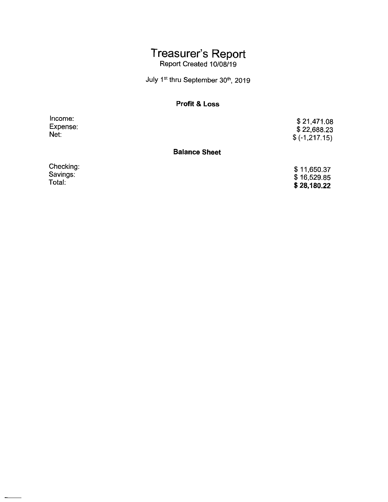# Treasurer's Report<br>Report Created 10/08/19

July 1<sup>st</sup> thru September 30<sup>th</sup>, 2019

### **Profit & Loss**

Income: Expense: Net:

\$21,471.08  $$22,688.23$  $$(-1, 217.15)$ 

### **Balance Sheet**

Checking: Savings:<br>Total:

\$11,650.37  $$16,529.85$ \$28,180.22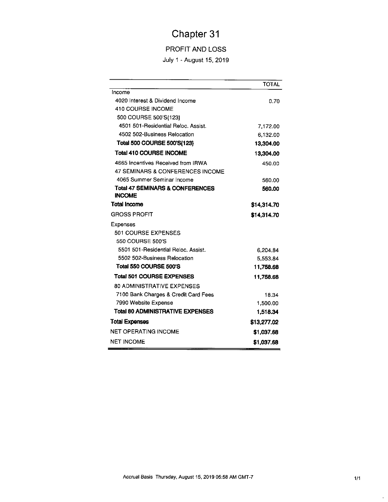### PROFIT AND LOSS

July 1 - August 15, 2019

|                                                             | <b>TOTAL</b> |
|-------------------------------------------------------------|--------------|
| income                                                      |              |
| 4020 Interest & Dividend Income                             | 0.70         |
| 410 COURSE INCOME                                           |              |
| 500 COURSE 500'S{123}                                       |              |
| 4501 501-Residential Reloc. Assist.                         | 7,172.00     |
| 4502 502-Business Relocation                                | 6.132.00     |
| Total 500 COURSE 500'S{123}                                 | 13,304.00    |
| <b>Total 410 COURSE INCOME</b>                              | 13,304.00    |
| 4665 Incentives Received from IRWA                          | 450.00       |
| <b>47 SEMINARS &amp; CONFERENCES INCOME</b>                 |              |
| 4065 Summer Seminar Income                                  | 560.00       |
| <b>Total 47 SEMINARS &amp; CONFERENCES</b><br><b>INCOME</b> | 560.00       |
| <b>Total Income</b>                                         | \$14,314.70  |
| <b>GROSS PROFIT</b>                                         | \$14,314.70  |
| Expenses                                                    |              |
| 501 COURSE EXPENSES                                         |              |
| 550 COURSE 500'S                                            |              |
| 5501 501-Residential Reloc, Assist.                         | 6,204.84     |
| 5502 502-Business Relocation                                | 5,553.84     |
| Total 550 COURSE 500'S                                      | 11,758.68    |
| <b>Total 501 COURSE EXPENSES</b>                            | 11,758.68    |
| <b>80 ADMINISTRATIVE EXPENSES</b>                           |              |
| 7100 Bank Charges & Credit Card Fees                        | 18.34        |
| 7990 Website Expense                                        | 1,500.00     |
| <b>Total 80 ADMINISTRATIVE EXPENSES</b>                     | 1,518,34     |
| <b>Total Expenses</b>                                       | \$13,277.02  |
| <b>NET OPERATING INCOME</b>                                 | \$1,037.68   |
| <b>NET INCOME</b>                                           | \$1,037.68   |